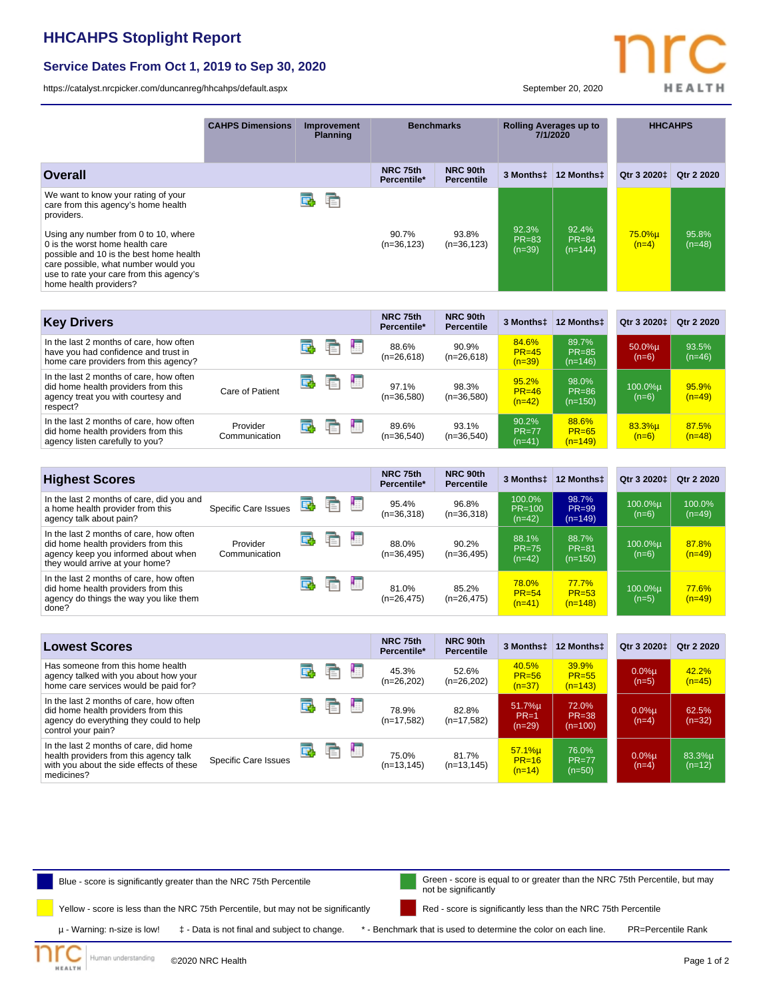## **HHCAHPS Stoplight Report**

## **Service Dates From Oct 1, 2019 to Sep 30, 2020**

<https://catalyst.nrcpicker.com/duncanreg/hhcahps/default.aspx> September 20, 2020

**HEALTH** 

| <b>CAHPS Dimensions</b>     | Improvement<br><b>Planning</b> |         | <b>Benchmarks</b>       |                               | <b>Rolling Averages up to</b><br>7/1/2020 |                                    | <b>HHCAHPS</b>          |                    |
|-----------------------------|--------------------------------|---------|-------------------------|-------------------------------|-------------------------------------------|------------------------------------|-------------------------|--------------------|
|                             |                                |         | NRC 75th<br>Percentile* | NRC 90th<br><b>Percentile</b> | 3 Monthst                                 | 12 Monthst                         | Qtr 3 2020±             | Otr 2 2020         |
|                             | œ                              | ħ       |                         |                               |                                           |                                    |                         |                    |
|                             |                                |         | $(n=36, 123)$           | $(n=36, 123)$                 | <b>PR=83</b><br>$(n=39)$                  | $PR = 84$<br>$(n=144)$             | $(n=4)$                 | 95.8%<br>$(n=48)$  |
|                             |                                |         |                         |                               |                                           |                                    |                         |                    |
|                             |                                |         | Percentile*             | <b>Percentile</b>             | 3 Monthst                                 | 12 Monthst                         | Qtr 3 2020 <sup>+</sup> | Qtr 2 2020         |
|                             | E                              | 围<br>E  | 88.6%<br>$(n=26,618)$   | 90.9%<br>$(n=26,618)$         | 84.6%<br>$PR = 45$<br>$(n=39)$            | 89.7%<br>$PR = 85$<br>$(n=146)$    | 50.0%µ<br>$(n=6)$       | 93.5%<br>$(n=46)$  |
| Care of Patient             | Œ.                             | 围<br>E  | 97.1%<br>$(n=36,580)$   | 98.3%<br>$(n=36,580)$         | 95.2%<br>$PR = 46$<br>$(n=42)$            | 98.0%<br>$PR = 86$<br>$(n=150)$    | 100.0%µ<br>$(n=6)$      | 95.9%<br>$(n=49)$  |
| Provider<br>Communication   | 國                              | ł.<br>重 | 89.6%<br>$(n=36,540)$   | 93.1%<br>$(n=36,540)$         | 90.2%<br>$PR = 77$<br>$(n=41)$            | 88.6%<br>$PR = 65$<br>$(n=149)$    | 83.3%µ<br>$(n=6)$       | 87.5%<br>$(n=48)$  |
|                             |                                |         |                         |                               |                                           |                                    |                         |                    |
|                             |                                |         | Percentile*             | NRC 90th<br><b>Percentile</b> | 3 Monthst                                 | 12 Monthst                         | Qtr 3 2020‡             | Qtr 2 2020         |
| <b>Specific Care Issues</b> | E.                             | Е<br>F  | 95.4%<br>$(n=36,318)$   | 96.8%<br>$(n=36,318)$         | 100.0%<br>$PR=100$<br>$(n=42)$            | 98.7%<br><b>PR=99</b><br>$(n=149)$ | 100.0%u<br>$(n=6)$      | 100.0%<br>$(n=49)$ |
| Provider<br>Communication   | œ                              | ł≣<br>E | 88.0%<br>$(n=36,495)$   | 90.2%<br>$(n=36,495)$         | 88.1%<br><b>PR=75</b><br>$(n=42)$         | 88.7%<br><b>PR=81</b><br>$(n=150)$ | 100.0%u<br>$(n=6)$      | 87.8%<br>$(n=49)$  |
|                             | œ                              | 围<br>重  | 81.0%<br>$(n=26, 475)$  | 85.2%<br>$(n=26, 475)$        | 78.0%<br>$PR = 54$<br>$(n=41)$            | 77.7%<br>$PR = 53$<br>$(n=148)$    | 100.0%µ<br>$(n=5)$      | 77.6%<br>$(n=49)$  |
|                             |                                |         |                         | 90.7%<br>NRC 75th<br>NRC 75th | 93.8%<br>NRC 90th                         | 92.3%                              | 92.4%                   | 75.0%µ             |

| <b>Lowest Scores</b>                                                                                                                            |                      |   |   |    | NRC 75th<br>Percentile* | NRC 90th<br><b>Percentile</b> | 3 Monthst                      | 12 Monthst                      | Qtr 3 20201         | Qtr 2 2020         |
|-------------------------------------------------------------------------------------------------------------------------------------------------|----------------------|---|---|----|-------------------------|-------------------------------|--------------------------------|---------------------------------|---------------------|--------------------|
| Has someone from this home health<br>agency talked with you about how your<br>home care services would be paid for?                             |                      |   | ¢ | ł. | 45.3%<br>$(n=26,202)$   | 52.6%<br>$(n=26,202)$         | 40.5%<br>$PR = 56$<br>$(n=37)$ | 39.9%<br>$PR = 55$<br>$(n=143)$ | $0.0%$ µ<br>$(n=5)$ | 42.2%<br>$(n=45)$  |
| In the last 2 months of care, how often<br>did home health providers from this<br>agency do everything they could to help<br>control your pain? |                      |   | c | г  | 78.9%<br>$(n=17,582)$   | 82.8%<br>$(n=17,582)$         | 51.7%µ<br>$PR=1$<br>$(n=29)$   | 72.0%<br>$PR = 38$<br>$(n=100)$ | $0.0%$ µ<br>$(n=4)$ | 62.5%<br>$(n=32)$  |
| In the last 2 months of care, did home<br>health providers from this agency talk<br>with you about the side effects of these<br>medicines?      | Specific Care Issues | 屁 | Ē | г  | 75.0%<br>$(n=13, 145)$  | 81.7%<br>$(n=13, 145)$        | 57.1%u<br>$PR=16$<br>$(n=14)$  | 76.0%<br>$PR = 77$<br>$(n=50)$  | $0.0%$ µ<br>$(n=4)$ | 83.3%µ<br>$(n=12)$ |



©2020 NRC Health